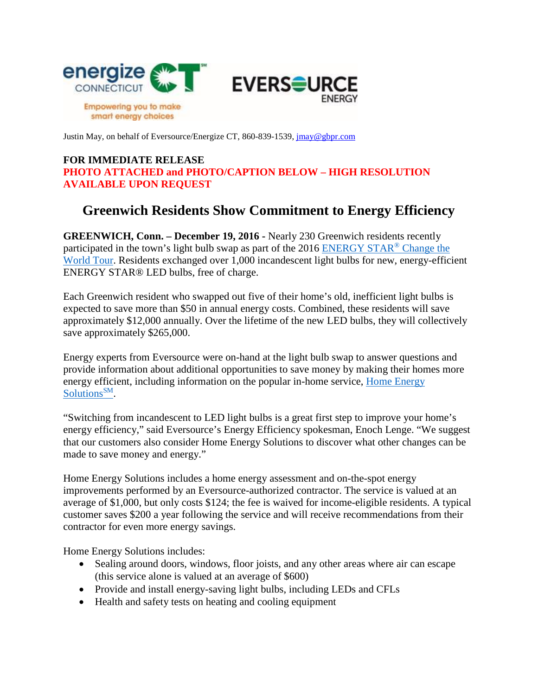

Justin May, on behalf of Eversource/Energize CT, 860-839-1539, [jmay@gbpr.com](mailto:jmay@gbpr.com)

## **FOR IMMEDIATE RELEASE PHOTO ATTACHED and PHOTO/CAPTION BELOW – HIGH RESOLUTION AVAILABLE UPON REQUEST**

## **Greenwich Residents Show Commitment to Energy Efficiency**

**GREENWICH, Conn. – December 19, 2016 -** Nearly 230 Greenwich residents recently participated in the town's light bulb swap as part of the 2016 [ENERGY STAR](https://www.energystar.gov/sites/default/files/asset/document/2016%20ESCTW%20CommunityServiceTour.pdf)® Change the [World Tour.](https://www.energystar.gov/sites/default/files/asset/document/2016%20ESCTW%20CommunityServiceTour.pdf) Residents exchanged over 1,000 incandescent light bulbs for new, energy-efficient ENERGY STAR® LED bulbs, free of charge.

Each Greenwich resident who swapped out five of their home's old, inefficient light bulbs is expected to save more than \$50 in annual energy costs. Combined, these residents will save approximately \$12,000 annually. Over the lifetime of the new LED bulbs, they will collectively save approximately \$265,000.

Energy experts from Eversource were on-hand at the light bulb swap to answer questions and provide information about additional opportunities to save money by making their homes more energy efficient, including information on the popular in-home service, Home Energy [Solutions](http://www.energizect.com/your-home/solutions-list/home-energy-solutions-core-services)<sup>SM</sup>.

"Switching from incandescent to LED light bulbs is a great first step to improve your home's energy efficiency," said Eversource's Energy Efficiency spokesman, Enoch Lenge. "We suggest that our customers also consider Home Energy Solutions to discover what other changes can be made to save money and energy."

Home Energy Solutions includes a home energy assessment and on-the-spot energy improvements performed by an Eversource-authorized contractor. The service is valued at an average of \$1,000, but only costs \$124; the fee is waived for income-eligible residents. A typical customer saves \$200 a year following the service and will receive recommendations from their contractor for even more energy savings.

Home Energy Solutions includes:

- Sealing around doors, windows, floor joists, and any other areas where air can escape (this service alone is valued at an average of \$600)
- Provide and install energy-saving light bulbs, including LEDs and CFLs
- Health and safety tests on heating and cooling equipment